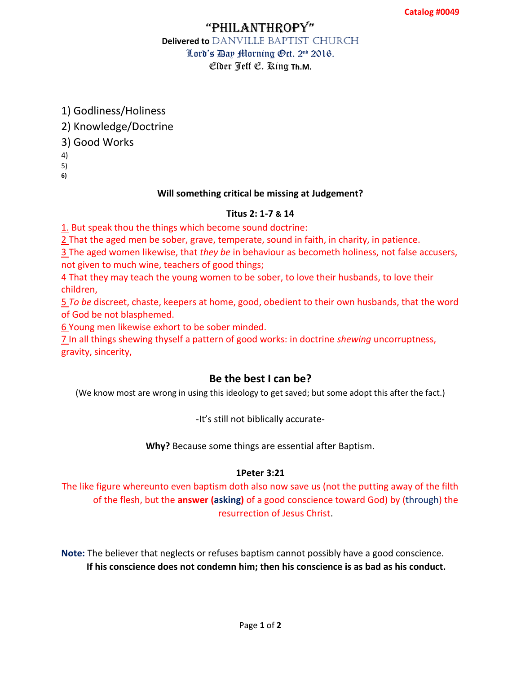## "PhilanthroPy" **Delivered to** DANVILLE BAPTIST CHURCH Lord's Day Morning Oct. 2nd 2016. Elder Jeff E. King **Th.M.**

1) Godliness/Holiness

2) Knowledge/Doctrine

3) Good Works

4)

5)

**6)**

### **Will something critical be missing at Judgement?**

#### **Titus 2: 1-7 & 14**

1. But speak thou the things which become sound doctrine:

[2 T](http://www.kingjamesbibleonline.org/Titus-2-2/)hat the aged men be sober, grave, temperate, sound in faith, in charity, in patience.

[3 T](http://www.kingjamesbibleonline.org/Titus-2-3/)he aged women likewise, that *they be* in behaviour as becometh holiness, not false accusers, not given to much wine, teachers of good things;

[4 T](http://www.kingjamesbibleonline.org/Titus-2-4/)hat they may teach the young women to be sober, to love their husbands, to love their children,

[5](http://www.kingjamesbibleonline.org/Titus-2-5/) *To be* discreet, chaste, keepers at home, good, obedient to their own husbands, that the word of God be not blasphemed.

[6 Y](http://www.kingjamesbibleonline.org/Titus-2-6/)oung men likewise exhort to be sober minded.

[7 I](http://www.kingjamesbibleonline.org/Titus-2-7/)n all things shewing thyself a pattern of good works: in doctrine *shewing* uncorruptness, gravity, sincerity,

## **Be the best I can be?**

(We know most are wrong in using this ideology to get saved; but some adopt this after the fact.)

-It's still not biblically accurate-

**Why?** Because some things are essential after Baptism.

#### **1Peter 3:21**

The like figure whereunto even baptism doth also now save us (not the putting away of the filth of the flesh, but the **answer (asking)** of a good conscience toward God) by (through) the resurrection of Jesus Christ.

**Note:** The believer that neglects or refuses baptism cannot possibly have a good conscience. **If his conscience does not condemn him; then his conscience is as bad as his conduct.**